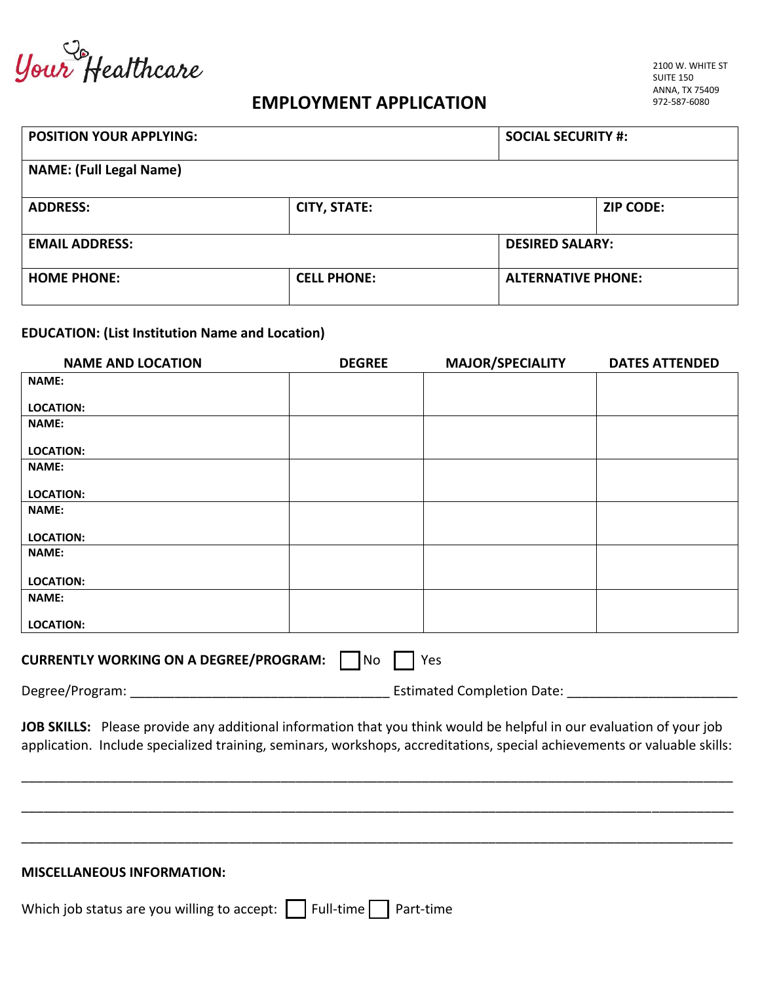Your Healthcare

## **EMPLOYMENT APPLICATION**

| <b>POSITION YOUR APPLYING:</b> |                                                 | <b>SOCIAL SECURITY #:</b> |                  |
|--------------------------------|-------------------------------------------------|---------------------------|------------------|
| <b>NAME: (Full Legal Name)</b> |                                                 |                           |                  |
| <b>ADDRESS:</b>                | <b>CITY, STATE:</b>                             |                           | <b>ZIP CODE:</b> |
| <b>EMAIL ADDRESS:</b>          |                                                 | <b>DESIRED SALARY:</b>    |                  |
| <b>HOME PHONE:</b>             | <b>CELL PHONE:</b><br><b>ALTERNATIVE PHONE:</b> |                           |                  |

## **EDUCATION: (List Institution Name and Location)**

| <b>NAME AND LOCATION</b>                                                                                            | <b>DEGREE</b> | <b>MAJOR/SPECIALITY</b>           | <b>DATES ATTENDED</b> |
|---------------------------------------------------------------------------------------------------------------------|---------------|-----------------------------------|-----------------------|
| <b>NAME:</b>                                                                                                        |               |                                   |                       |
| <b>LOCATION:</b>                                                                                                    |               |                                   |                       |
| <b>NAME:</b>                                                                                                        |               |                                   |                       |
| <b>LOCATION:</b>                                                                                                    |               |                                   |                       |
| <b>NAME:</b>                                                                                                        |               |                                   |                       |
| <b>LOCATION:</b>                                                                                                    |               |                                   |                       |
| <b>NAME:</b>                                                                                                        |               |                                   |                       |
| <b>LOCATION:</b>                                                                                                    |               |                                   |                       |
| <b>NAME:</b>                                                                                                        |               |                                   |                       |
| <b>LOCATION:</b>                                                                                                    |               |                                   |                       |
| <b>NAME:</b>                                                                                                        |               |                                   |                       |
| <b>LOCATION:</b>                                                                                                    |               |                                   |                       |
|                                                                                                                     |               |                                   |                       |
| <b>CURRENTLY WORKING ON A DEGREE/PROGRAM:</b>                                                                       | No            | Yes                               |                       |
|                                                                                                                     |               | <b>Estimated Completion Date:</b> |                       |
| JOB SKILLS: Please provide any additional information that you think would be helpful in our evaluation of your job |               |                                   |                       |

application. Include specialized training, seminars, workshops, accreditations, special achievements or valuable skills:

\_\_\_\_\_\_\_\_\_\_\_\_\_\_\_\_\_\_\_\_\_\_\_\_\_\_\_\_\_\_\_\_\_\_\_\_\_\_\_\_\_\_\_\_\_\_\_\_\_\_\_\_\_\_\_\_\_\_\_\_\_\_\_\_\_\_\_\_\_\_\_\_\_\_\_\_\_\_\_\_\_\_\_\_\_\_\_\_\_\_\_\_\_\_\_\_

\_\_\_\_\_\_\_\_\_\_\_\_\_\_\_\_\_\_\_\_\_\_\_\_\_\_\_\_\_\_\_\_\_\_\_\_\_\_\_\_\_\_\_\_\_\_\_\_\_\_\_\_\_\_\_\_\_\_\_\_\_\_\_\_\_\_\_\_\_\_\_\_\_\_\_\_\_\_\_\_\_\_\_\_\_\_\_\_\_\_\_\_\_\_\_\_

\_\_\_\_\_\_\_\_\_\_\_\_\_\_\_\_\_\_\_\_\_\_\_\_\_\_\_\_\_\_\_\_\_\_\_\_\_\_\_\_\_\_\_\_\_\_\_\_\_\_\_\_\_\_\_\_\_\_\_\_\_\_\_\_\_\_\_\_\_\_\_\_\_\_\_\_\_\_\_\_\_\_\_\_\_\_\_\_\_\_\_\_\_\_\_\_

## **MISCELLANEOUS INFORMATION:**

Which job status are you willing to accept:  $\Box$  Full-time  $\Box$  Part-time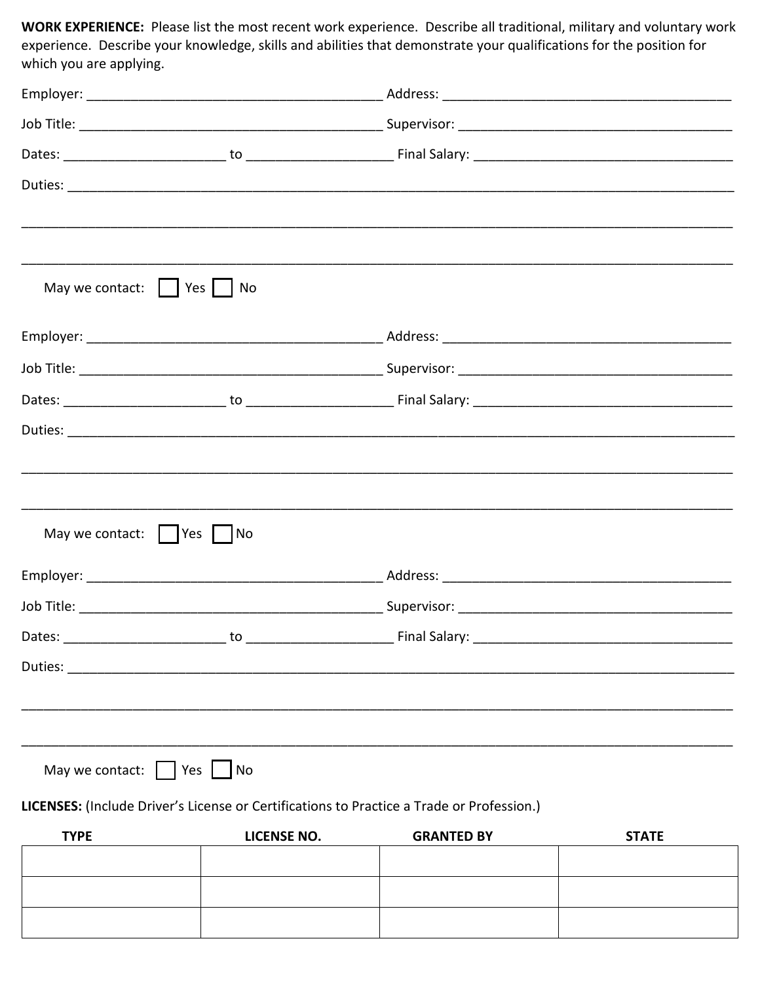WORK EXPERIENCE: Please list the most recent work experience. Describe all traditional, military and voluntary work experience. Describe your knowledge, skills and abilities that demonstrate your qualifications for the position for which you are applying.

| May we contact:     Yes     No                                                            |                                                                                                                      |                   |              |  |
|-------------------------------------------------------------------------------------------|----------------------------------------------------------------------------------------------------------------------|-------------------|--------------|--|
|                                                                                           |                                                                                                                      |                   |              |  |
|                                                                                           |                                                                                                                      |                   |              |  |
|                                                                                           |                                                                                                                      |                   |              |  |
|                                                                                           |                                                                                                                      |                   |              |  |
|                                                                                           |                                                                                                                      |                   |              |  |
|                                                                                           |                                                                                                                      |                   |              |  |
| May we contact:     Yes     No                                                            |                                                                                                                      |                   |              |  |
|                                                                                           |                                                                                                                      |                   |              |  |
|                                                                                           |                                                                                                                      |                   |              |  |
|                                                                                           |                                                                                                                      |                   |              |  |
| Duties:                                                                                   | <u> 2000 - 2000 - 2000 - 2000 - 2000 - 2000 - 2000 - 2000 - 2000 - 2000 - 2000 - 2000 - 2000 - 2000 - 2000 - 200</u> |                   |              |  |
|                                                                                           |                                                                                                                      |                   |              |  |
|                                                                                           |                                                                                                                      |                   |              |  |
| May we contact: $\Box$ Yes                                                                | No                                                                                                                   |                   |              |  |
| LICENSES: (Include Driver's License or Certifications to Practice a Trade or Profession.) |                                                                                                                      |                   |              |  |
| <b>TYPE</b>                                                                               | LICENSE NO.                                                                                                          | <b>GRANTED BY</b> | <b>STATE</b> |  |

| . | ------------ | . <i>.</i> . |  |
|---|--------------|--------------|--|
|   |              |              |  |
|   |              |              |  |
|   |              |              |  |
|   |              |              |  |
|   |              |              |  |
|   |              |              |  |